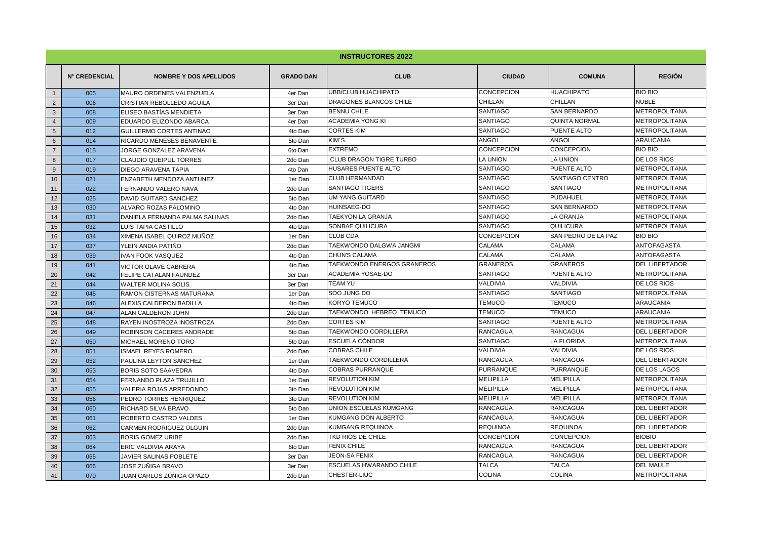|                 | <b>INSTRUCTORES 2022</b> |                                 |                  |                                |                   |                      |                       |
|-----------------|--------------------------|---------------------------------|------------------|--------------------------------|-------------------|----------------------|-----------------------|
|                 | <b>N° CREDENCIAL</b>     | <b>NOMBRE Y DOS APELLIDOS</b>   | <b>GRADO DAN</b> | <b>CLUB</b>                    | <b>CIUDAD</b>     | <b>COMUNA</b>        | <b>REGIÓN</b>         |
| $\mathbf{1}$    | 005                      | <b>MAURO ORDENES VALENZUELA</b> | 4er Dan          | <b>UBB/CLUB HUACHIPATO</b>     | <b>CONCEPCION</b> | <b>HUACHIPATO</b>    | <b>BIO BIO</b>        |
| 2               | 006                      | CRISTIAN REBOLLEDO AGUILA       | 3er Dan          | DRAGONES BLANCOS CHILE         | CHILLAN           | CHILLAN              | <b>ÑUBLE</b>          |
| $\mathbf{3}$    | 008                      | <b>ELISEO BASTÍAS MENDIETA</b>  | 3er Dan          | <b>BENNU CHILE</b>             | SANTIAGO          | SAN BERNARDO         | <b>METROPOLITANA</b>  |
| $\overline{4}$  | 009                      | EDUARDO ELIZONDO ABARCA         | 4er Dan          | <b>ACADEMIA YONG KI</b>        | <b>SANTIAGO</b>   | <b>QUINTA NORMAL</b> | <b>METROPOLITANA</b>  |
| $5\overline{5}$ | 012                      | GUILLERMO CORTES ANTINAO        | 4to Dan          | <b>CORTES KIM</b>              | <b>SANTIAGO</b>   | PUENTE ALTO          | <b>METROPOLITANA</b>  |
| $6\phantom{1}$  | 014                      | RICARDO MENESES BENAVENTE       | 5to Dan          | KIM'S                          | ANGOL             | ANGOL                | <b>ARAUCANIA</b>      |
| $\overline{7}$  | 015                      | JORGE GONZALEZ ARAVENA          | 6to Dan          | <b>EXTREMO</b>                 | CONCEPCION        | CONCEPCION           | <b>BIO BIO</b>        |
| 8               | 017                      | <b>CLAUDIO QUEIPUL TORRES</b>   | 2do Dan          | <b>CLUB DRAGON TIGRE TURBO</b> | LA UNION          | <b>LA UNION</b>      | <b>DE LOS RIOS</b>    |
| 9               | 019                      | DIEGO ARAVENA TAPIA             | 4to Dan          | HUSARES PUENTE ALTO            | SANTIAGO          | PUENTE ALTO          | <b>METROPOLITANA</b>  |
| 10              | 021                      | ENZABETH MENDOZA ANTUNEZ        | 1er Dan          | <b>CLUB HERMANDAD</b>          | <b>SANTIAGO</b>   | SANTIAGO CENTRO      | <b>METROPOLITANA</b>  |
| 11              | 022                      | FERNANDO VALERO NAVA            | 2do Dan          | <b>SANTIAGO TIGERS</b>         | <b>SANTIAGO</b>   | <b>SANTIAGO</b>      | <b>METROPOLITANA</b>  |
| 12              | 025                      | <b>DAVID GUITARD SANCHEZ</b>    | 5to Dan          | UM YANG GUITARD                | SANTIAGO          | <b>PUDAHUEL</b>      | <b>METROPOLITANA</b>  |
| 13              | 030                      | ALVARO ROZAS PALOMINO           | 4to Dan          | HUINSAEG-DO                    | SANTIAGO          | <b>SAN BERNARDO</b>  | <b>METROPOLITANA</b>  |
| 14              | 031                      | DANIELA FERNANDA PALMA SALINAS  | 2do Dan          | TAEKYON LA GRANJA              | SANTIAGO          | <b>LA GRANJA</b>     | <b>METROPOLITANA</b>  |
| 15              | 032                      | LUIS TAPIA CASTILLO             | 4to Dan          | SONBAE QUILICURA               | SANTIAGO          | QUILICURA            | <b>METROPOLITANA</b>  |
| 16              | 034                      | XIMENA ISABEL QUIROZ MUÑOZ      | 1er Dan          | <b>CLUB CDA</b>                | CONCEPCION        | SAN PEDRO DE LA PAZ  | <b>BIO BIO</b>        |
| 17              | 037                      | YLEIN ANDIA PATIÑO              | 2do Dan          | TAEKWONDO DALGWA JANGMI        | CALAMA            | CALAMA               | <b>ANTOFAGASTA</b>    |
| 18              | 039                      | <b>IVAN FOOK VASQUEZ</b>        | 4to Dan          | CHUN'S CALAMA                  | CALAMA            | CALAMA               | <b>ANTOFAGASTA</b>    |
| 19              | 041                      | <b>VICTOR OLAVE CABRERA</b>     | 4to Dan          | TAEKWONDO ENERGOS GRANEROS     | <b>GRANEROS</b>   | <b>GRANEROS</b>      | <b>DEL LIBERTADOR</b> |
| 20              | 042                      | FELIPE CATALAN FAUNDEZ          | 3er Dan          | ACADEMIA YOSAE-DO              | <b>SANTIAGO</b>   | PUENTE ALTO          | <b>METROPOLITANA</b>  |
| 21              | 044                      | <b>WALTER MOLINA SOLIS</b>      | 3er Dan          | <b>TEAM YU</b>                 | VALDIVIA          | VALDIVIA             | <b>DE LOS RIOS</b>    |
| 22              | 045                      | <b>RAMON CISTERNAS MATURANA</b> | 1er Dan          | SOO JUNG DO                    | <b>SANTIAGO</b>   | <b>SANTIAGO</b>      | <b>METROPOLITANA</b>  |
| 23              | 046                      | ALEXIS CALDERON BADILLA         | 4to Dan          | KORYO TEMUCO                   | <b>TEMUCO</b>     | <b>TEMUCO</b>        | <b>ARAUCANIA</b>      |
| 24              | 047                      | ALAN CALDERON JOHN              | 2do Dan          | TAEKWONDO HEBREO TEMUCO        | <b>TEMUCO</b>     | <b>TEMUCO</b>        | <b>ARAUCANIA</b>      |
| 25              | 048                      | RAYEN INOSTROZA INOSTROZA       | 2do Dan          | <b>CORTES KIM</b>              | <b>SANTIAGO</b>   | PUENTE ALTO          | <b>METROPOLITANA</b>  |
| 26              | 049                      | ROBINSON CACERES ANDRADE        | 5to Dan          | TAEKWONDO CORDILLERA           | <b>RANCAGUA</b>   | <b>RANCAGUA</b>      | <b>DEL LIBERTADOR</b> |
| 27              | 050                      | <b>MICHAEL MORENO TORO</b>      | 5to Dan          | ESCUELA CÓNDOR                 | <b>SANTIAGO</b>   | <b>LA FLORIDA</b>    | <b>METROPOLITANA</b>  |
| 28              | 051                      | <b>ISMAEL REYES ROMERO</b>      | 2do Dan          | <b>COBRAS CHILE</b>            | <b>VALDIVIA</b>   | <b>VALDIVIA</b>      | <b>DE LOS RIOS</b>    |
| 29              | 052                      | PAULINA LEYTON SANCHEZ          | 1er Dan          | TAEKWONDO CORDILLERA           | <b>RANCAGUA</b>   | <b>RANCAGUA</b>      | <b>DEL LIBERTADOR</b> |
| 30              | 053                      | <b>BORIS SOTO SAAVEDRA</b>      | 4to Dan          | <b>COBRAS PURRANQUE</b>        | <b>PURRANQUE</b>  | PURRANQUE            | <b>DE LOS LAGOS</b>   |
| 31              | 054                      | FERNANDO PLAZA TRUJILLO         | 1er Dan          | <b>REVOLUTION KIM</b>          | <b>MELIPILLA</b>  | <b>MELIPILLA</b>     | <b>METROPOLITANA</b>  |
| 32              | 055                      | <b>VALERIA ROJAS ARREDONDO</b>  | 3to Dan          | <b>REVOLUTION KIM</b>          | <b>MELIPILLA</b>  | <b>MELIPILLA</b>     | <b>METROPOLITANA</b>  |
| 33              | 056                      | PEDRO TORRES HENRIQUEZ          | 3to Dan          | <b>REVOLUTION KIM</b>          | <b>MELIPILLA</b>  | <b>MELIPILLA</b>     | <b>METROPOLITANA</b>  |
| 34              | 060                      | RICHARD SILVA BRAVO             | 5to Dan          | UNION ESCUELAS KUMGANG         | <b>RANCAGUA</b>   | <b>RANCAGUA</b>      | <b>DEL LIBERTADOR</b> |
| 35              | 061                      | ROBERTO CASTRO VALDES           | 1er Dan          | KUMGANG DON ALBERTO            | <b>RANCAGUA</b>   | <b>RANCAGUA</b>      | <b>DEL LIBERTADOR</b> |
| 36              | 062                      | CARMEN RODRIGUEZ OLGUIN         | 2do Dan          | KUMGANG REQUINOA               | <b>REQUINOA</b>   | <b>REQUINOA</b>      | <b>DEL LIBERTADOR</b> |
| 37              | 063                      | <b>BORIS GOMEZ URIBE</b>        | 2do Dan          | TKD RIOS DE CHILE              | CONCEPCION        | CONCEPCION           | <b>BIOBIO</b>         |
| 38              | 064                      | ERIC VALDIVIA ARAYA             | 6to Dan          | <b>FENIX CHILE</b>             | <b>RANCAGUA</b>   | <b>RANCAGUA</b>      | <b>DEL LIBERTADOR</b> |
| 39              | 065                      | JAVIER SALINAS POBLETE          | 3er Dan          | <b>JEON-SA FENIX</b>           | <b>RANCAGUA</b>   | <b>RANCAGUA</b>      | <b>DEL LIBERTADOR</b> |
| 40              | 066                      | JOSE ZUÑIGA BRAVO               | 3er Dan          | ESCUELAS HWARANDO CHILE        | <b>TALCA</b>      | <b>TALCA</b>         | <b>DEL MAULE</b>      |
| 41              | 070                      | JUAN CARLOS ZÜÑIGA OPAZO        | 2do Dan          | CHESTER-LIUC                   | <b>COLINA</b>     | <b>COLINA</b>        | <b>METROPOLITANA</b>  |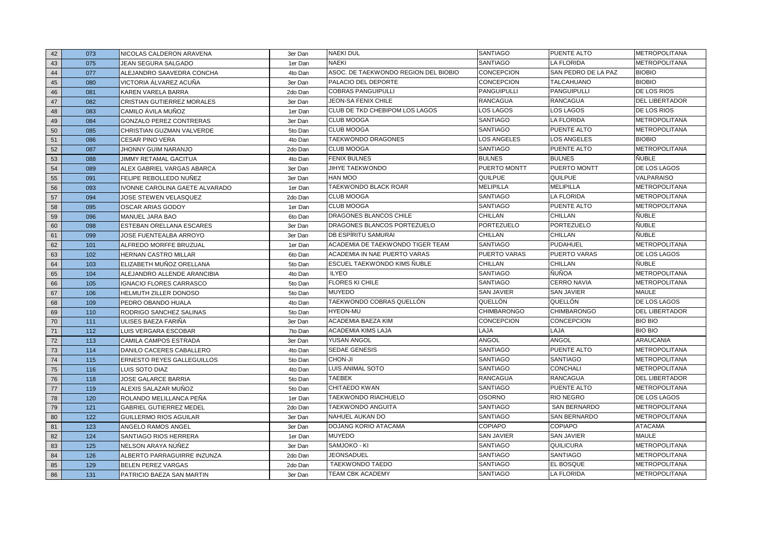| 42 | 073 | NICOLAS CALDERON ARAVENA          | 3er Dan | <b>NAEKI DUL</b>                     | <b>SANTIAGO</b>     | PUENTE ALTO         | METROPOLITANA         |
|----|-----|-----------------------------------|---------|--------------------------------------|---------------------|---------------------|-----------------------|
| 43 | 075 | JEAN SEGURA SALGADO               | 1er Dan | <b>NAEKI</b>                         | <b>SANTIAGO</b>     | LA FLORIDA          | <b>METROPOLITANA</b>  |
| 44 | 077 | ALEJANDRO SAAVEDRA CONCHA         | 4to Dan | ASOC. DE TAEKWONDO REGION DEL BIOBIO | <b>CONCEPCION</b>   | SAN PEDRO DE LA PAZ | <b>BIOBIO</b>         |
| 45 | 080 | VICTORIA ÁLVAREZ ACUÑA            | 3er Dan | PALACIO DEL DEPORTE                  | <b>CONCEPCION</b>   | <b>TALCAHUANO</b>   | <b>BIOBIO</b>         |
| 46 | 081 | KAREN VARELA BARRA                | 2do Dan | <b>COBRAS PANGUIPULLI</b>            | <b>PANGUIPULLI</b>  | PANGUIPULLI         | DE LOS RIOS           |
| 47 | 082 | CRISTIAN GUTIERREZ MORALES        | 3er Dan | <b>JEON-SA FENIX CHILE</b>           | <b>RANCAGUA</b>     | <b>RANCAGUA</b>     | <b>DEL LIBERTADOR</b> |
| 48 | 083 | CAMILO ÁVILA MUÑOZ                | 1er Dan | CLUB DE TKD CHEBIPOM LOS LAGOS       | LOS LAGOS           | LOS LAGOS           | <b>DE LOS RIOS</b>    |
| 49 | 084 | GONZALO PEREZ CONTRERAS           | 3er Dan | <b>CLUB MOOGA</b>                    | SANTIAGO            | LA FLORIDA          | <b>METROPOLITANA</b>  |
| 50 | 085 | CHRISTIAN GUZMAN VALVERDE         | 5to Dan | <b>CLUB MOOGA</b>                    | SANTIAGO            | PUENTE ALTO         | <b>METROPOLITANA</b>  |
| 51 | 086 | <b>CESAR PINO VERA</b>            | 4to Dan | <b>TAEKWONDO DRAGONES</b>            | <b>LOS ANGELES</b>  | <b>LOS ANGELES</b>  | <b>BIOBIO</b>         |
| 52 | 087 | JHONNY GUIM NARANJO               | 2do Dan | <b>CLUB MOOGA</b>                    | <b>SANTIAGO</b>     | PUENTE ALTO         | <b>METROPOLITANA</b>  |
| 53 | 088 | JIMMY RETAMAL GACITUA             | 4to Dan | <b>FENIX BULNES</b>                  | <b>BULNES</b>       | <b>BULNES</b>       | <b>ÑUBLE</b>          |
| 54 | 089 | ALEX GABRIEL VARGAS ABARCA        | 3er Dan | <b>JIHYE TAEKWONDO</b>               | PUERTO MONTT        | PUERTO MONTT        | DE LOS LAGOS          |
| 55 | 091 | FELIPE REBOLLEDO NUÑEZ            | 3er Dan | HAN MOO                              | QUILPUE             | QUILPUE             | <b>VALPARAISO</b>     |
| 56 | 093 | IVONNE CAROLINA GAETE ALVARADO    | 1er Dan | TAEKWONDO BLACK ROAR                 | <b>MELIPILLA</b>    | <b>MELIPILLA</b>    | <b>METROPOLITANA</b>  |
| 57 | 094 | JOSE STEWEN VELASQUEZ             | 2do Dan | <b>CLUB MOOGA</b>                    | SANTIAGO            | LA FLORIDA          | <b>METROPOLITANA</b>  |
| 58 | 095 | OSCAR ARIAS GODOY                 | 1er Dan | <b>CLUB MOOGA</b>                    | <b>SANTIAGO</b>     | PUENTE ALTO         | <b>METROPOLITANA</b>  |
| 59 | 096 | <b>MANUEL JARA BAO</b>            | 6to Dan | DRAGONES BLANCOS CHILE               | <b>CHILLAN</b>      | CHILLAN             | <b>ÑUBLE</b>          |
| 60 | 098 | ESTEBAN ORELLANA ESCARES          | 3er Dan | DRAGONES BLANCOS PORTEZUELO          | <b>PORTEZUELO</b>   | <b>PORTEZUELO</b>   | ÑUBLE                 |
| 61 | 099 | JOSE FUENTEALBA ARROYO            | 3er Dan | DB ESPÍRITU SAMURAI                  | <b>CHILLAN</b>      | CHILLAN             | <b>ÑUBLE</b>          |
| 62 | 101 | ALFREDO MORFFE BRUZUAL            | 1er Dan | ACADEMIA DE TAEKWONDO TIGER TEAM     | <b>SANTIAGO</b>     | PUDAHUEL            | <b>METROPOLITANA</b>  |
| 63 | 102 | HERNAN CASTRO MILLAR              | 6to Dan | ACADEMIA IN NAE PUERTO VARAS         | <b>PUERTO VARAS</b> | PUERTO VARAS        | DE LOS LAGOS          |
| 64 | 103 | ELIZABETH MUÑOZ ORELLANA          | 5to Dan | ESCUEL TAEKWONDO KIMS ÑUBLE          | <b>CHILLAN</b>      | CHILLAN             | <b>ÑUBLE</b>          |
| 65 | 104 | ALEJANDRO ALLENDE ARANCIBIA       | 4to Dan | <b>ILYEO</b>                         | SANTIAGO            | ÑUÑOA               | METROPOLITANA         |
| 66 | 105 | <b>IGNACIO FLORES CARRASCO</b>    | 5to Dan | <b>FLORES KI CHILE</b>               | <b>SANTIAGO</b>     | <b>CERRO NAVIA</b>  | <b>METROPOLITANA</b>  |
| 67 | 106 | HELMUTH ZILLER DONOSO             | 5to Dan | <b>MUYEDO</b>                        | <b>SAN JAVIER</b>   | <b>SAN JAVIER</b>   | <b>MAULE</b>          |
| 68 | 109 | PEDRO OBANDO HUALA                | 4to Dan | TAEKWONDO COBRAS QUELLÓN             | QUELLÓN             | QUELLÓN             | DE LOS LAGOS          |
| 69 | 110 | RODRIGO SANCHEZ SALINAS           | 5to Dan | <b>HYEON-MU</b>                      | <b>CHIMBARONGO</b>  | CHIMBARONGO         | <b>DEL LIBERTADOR</b> |
| 70 | 111 | ULISES BAEZA FARIÑA               | 3er Dan | ACADEMIA BAEZA KIM                   | <b>CONCEPCION</b>   | CONCEPCION          | <b>BIO BIO</b>        |
| 71 | 112 | LUIS VERGARA ESCOBAR              | 7to Dan | ACADEMIA KIMS LAJA                   | LAJA                | LAJA                | <b>BIO BIO</b>        |
| 72 | 113 | CAMILA CAMPOS ESTRADA             | 3er Dan | YUSAN ANGOL                          | ANGOL               | ANGOL               | <b>ARAUCANIA</b>      |
| 73 | 114 | DANILO CACERES CABALLERO          | 4to Dan | <b>SEDAE GENESIS</b>                 | <b>SANTIAGO</b>     | PUENTE ALTO         | <b>METROPOLITANA</b>  |
| 74 | 115 | <b>ERNESTO REYES GALLEGUILLOS</b> | 5to Dan | <b>CHON-JI</b>                       | SANTIAGO            | <b>SANTIAGO</b>     | <b>METROPOLITANA</b>  |
| 75 | 116 | LUIS SOTO DIAZ                    | 4to Dan | LUIS ANIMAL SOTO                     | <b>SANTIAGO</b>     | CONCHALI            | <b>METROPOLITANA</b>  |
| 76 | 118 | JOSE GALARCE BARRIA               | 5to Dan | TAEBEK                               | <b>RANCAGUA</b>     | RANCAGUA            | <b>DEL LIBERTADOR</b> |
| 77 | 119 | ALEXIS SALAZAR MUÑOZ              | 5to Dan | CHITAEDO KWAN                        | <b>SANTIAGO</b>     | PUENTE ALTO         | <b>METROPOLITANA</b>  |
| 78 | 120 | ROLANDO MELILLANCA PEÑA           | 1er Dan | TAEKWONDO RIACHUELO                  | <b>OSORNO</b>       | RIO NEGRO           | DE LOS LAGOS          |
| 79 | 121 | <b>GABRIEL GUTIERREZ MEDEL</b>    | 2do Dan | TAEKWONDO ANGUITA                    | <b>SANTIAGO</b>     | SAN BERNARDO        | METROPOLITANA         |
| 80 | 122 | GUILLERMO RIOS AGUILAR            | 3er Dan | NAHUEL AUKAN DO                      | <b>SANTIAGO</b>     | <b>SAN BERNARDO</b> | <b>METROPOLITANA</b>  |
| 81 | 123 | ANGELO RAMOS ANGEL                | 3er Dan | DOJANG KORIO ATACAMA                 | <b>COPIAPO</b>      | <b>COPIAPO</b>      | <b>ATACAMA</b>        |
| 82 | 124 | SANTIAGO RIOS HERRERA             | 1er Dan | <b>MUYEDO</b>                        | <b>SAN JAVIER</b>   | <b>SAN JAVIER</b>   | <b>MAULE</b>          |
| 83 | 125 | NELSON ARAYA NÜÑEZ                | 3er Dan | SAMJOKO - KI                         | <b>SANTIAGO</b>     | QUILICURA           | <b>METROPOLITANA</b>  |
| 84 | 126 | ALBERTO PARRAGUIRRE INZUNZA       | 2do Dan | <b>JEONSADUEL</b>                    | <b>SANTIAGO</b>     | SANTIAGO            | <b>METROPOLITANA</b>  |
| 85 | 129 | <b>BELEN PEREZ VARGAS</b>         | 2do Dan | <b>TAEKWONDO TAEDO</b>               | <b>SANTIAGO</b>     | EL BOSQUE           | <b>METROPOLITANA</b>  |
| 86 | 131 | PATRICIO BAEZA SAN MARTIN         | 3er Dan | TEAM CBK ACADEMY                     | <b>SANTIAGO</b>     | LA FLORIDA          | <b>METROPOLITANA</b>  |